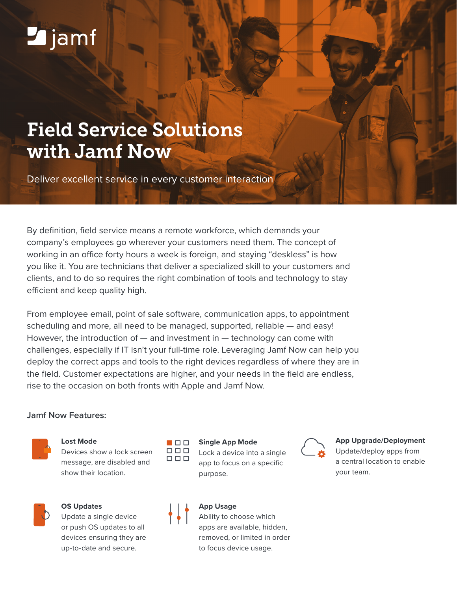# **Z**jamf

# Field Service Solutions with Jamf Now

Deliver excellent service in every customer interaction

By definition, field service means a remote workforce, which demands your company's employees go wherever your customers need them. The concept of working in an office forty hours a week is foreign, and staying "deskless" is how you like it. You are technicians that deliver a specialized skill to your customers and clients, and to do so requires the right combination of tools and technology to stay efficient and keep quality high.

From employee email, point of sale software, communication apps, to appointment scheduling and more, all need to be managed, supported, reliable — and easy! However, the introduction of — and investment in — technology can come with challenges, especially if IT isn't your full-time role. Leveraging Jamf Now can help you deploy the correct apps and tools to the right devices regardless of where they are in the field. Customer expectations are higher, and your needs in the field are endless, rise to the occasion on both fronts with Apple and Jamf Now.

#### **Jamf Now Features:**



#### **Lost Mode**

Devices show a lock screen message, are disabled and show their location.



**Single App Mode** Lock a device into a single app to focus on a specific purpose.



**App Upgrade/Deployment** Update/deploy apps from a central location to enable your team.



#### **OS Updates**

Update a single device or push OS updates to all devices ensuring they are up-to-date and secure.



#### **App Usage**

Ability to choose which apps are available, hidden, removed, or limited in order to focus device usage.